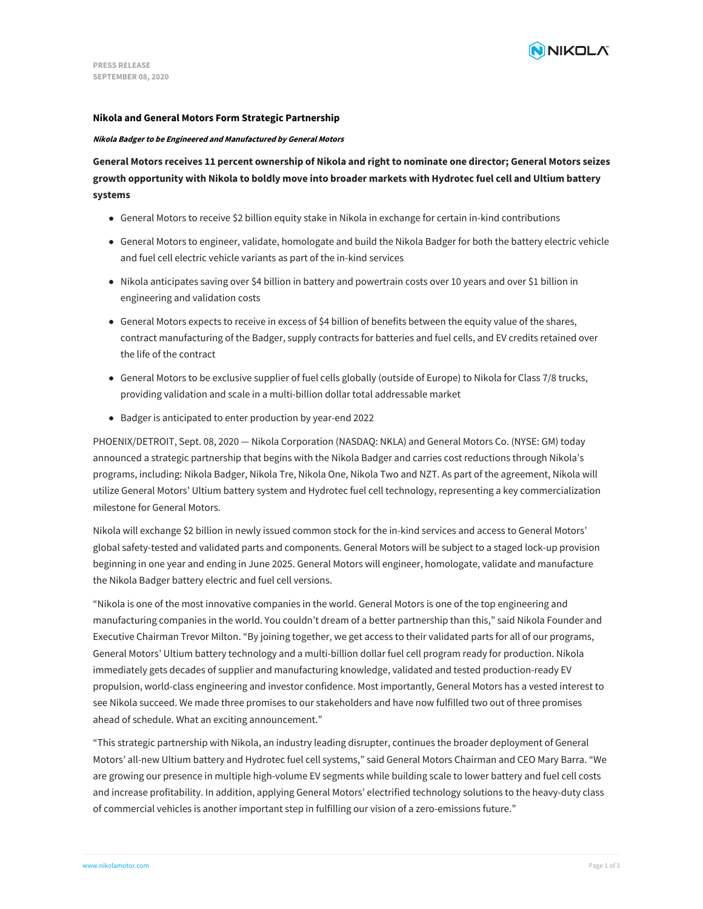### **Nikola and General Motors Form Strategic Partnership**

#### **Nikola Badger to be Engineered and Manufactured by General Motors**

General Motors receives 11 percent ownership of Nikola and right to nominate one director; General Motors seizes growth opportunity with Nikola to boldly move into broader markets with Hydrotec fuel cell and Ultium battery **systems**

- General Motors to receive \$2 billion equity stake in Nikola in exchange for certain in-kind contributions
- General Motors to engineer, validate, homologate and build the Nikola Badger for both the battery electric vehicle and fuel cell electric vehicle variants as part of the in-kind services
- Nikola anticipates saving over \$4 billion in battery and powertrain costs over 10 years and over \$1 billion in engineering and validation costs
- General Motors expects to receive in excess of \$4 billion of benefits between the equity value of the shares, contract manufacturing of the Badger, supply contracts for batteries and fuel cells, and EV credits retained over the life of the contract
- General Motors to be exclusive supplier of fuel cells globally (outside of Europe) to Nikola for Class 7/8 trucks, providing validation and scale in a multi-billion dollar total addressable market
- Badger is anticipated to enter production by year-end 2022

PHOENIX/DETROIT, Sept. 08, 2020 — Nikola Corporation (NASDAQ: NKLA) and General Motors Co. (NYSE: GM) today announced a strategic partnership that begins with the Nikola Badger and carries cost reductions through Nikola's programs, including: Nikola Badger, Nikola Tre, Nikola One, Nikola Two and NZT. As part of the agreement, Nikola will utilize General Motors' Ultium battery system and Hydrotec fuel cell technology, representing a key commercialization milestone for General Motors.

Nikola will exchange \$2 billion in newly issued common stock for the in-kind services and access to General Motors' global safety-tested and validated parts and components. General Motors will be subject to a staged lock-up provision beginning in one year and ending in June 2025. General Motors will engineer, homologate, validate and manufacture the Nikola Badger battery electric and fuel cell versions.

"Nikola is one of the most innovative companies in the world. General Motors is one of the top engineering and manufacturing companies in the world. You couldn't dream of a better partnership than this," said Nikola Founder and Executive Chairman Trevor Milton. "By joining together, we get access to their validated parts for all of our programs, General Motors' Ultium battery technology and a multi-billion dollar fuel cell program ready for production. Nikola immediately gets decades of supplier and manufacturing knowledge, validated and tested production-ready EV propulsion, world-class engineering and investor confidence. Most importantly, General Motors has a vested interest to see Nikola succeed. We made three promises to our stakeholders and have now fulfilled two out of three promises ahead of schedule. What an exciting announcement."

"This strategic partnership with Nikola, an industry leading disrupter, continues the broader deployment of General Motors' all-new Ultium battery and Hydrotec fuel cell systems," said General Motors Chairman and CEO Mary Barra. "We are growing our presence in multiple high-volume EV segments while building scale to lower battery and fuel cell costs and increase profitability. In addition, applying General Motors' electrified technology solutions to the heavy-duty class of commercial vehicles is another important step in fulfilling our vision of a zero-emissions future."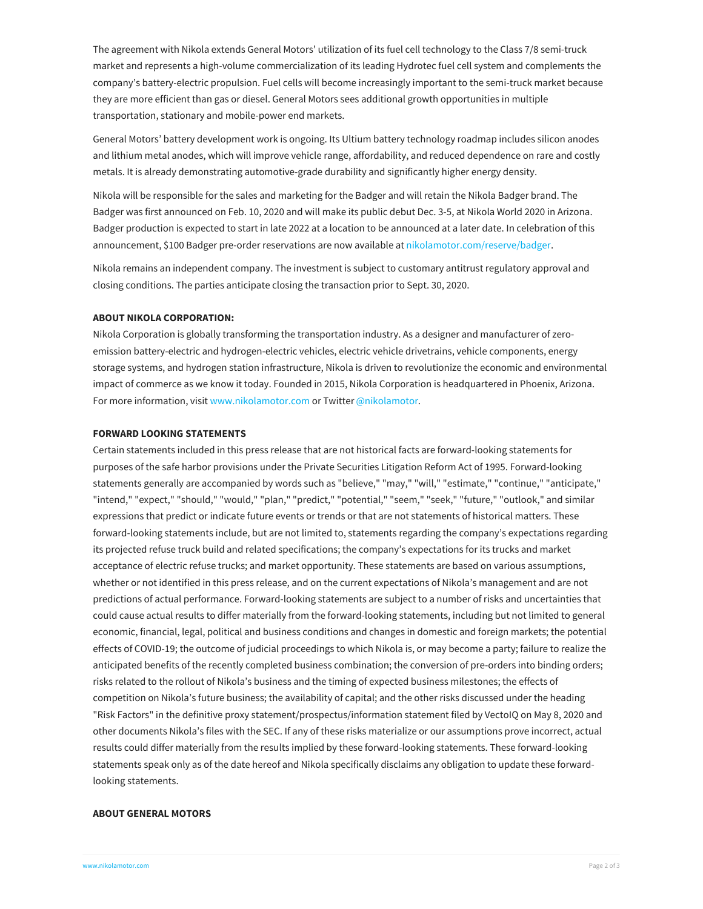The agreement with Nikola extends General Motors' utilization of its fuel cell technology to the Class 7/8 semi-truck market and represents a high-volume commercialization of its leading Hydrotec fuel cell system and complements the company's battery-electric propulsion. Fuel cells will become increasingly important to the semi-truck market because they are more efficient than gas or diesel. General Motors sees additional growth opportunities in multiple transportation, stationary and mobile-power end markets.

General Motors' battery development work is ongoing. Its Ultium battery technology roadmap includes silicon anodes and lithium metal anodes, which will improve vehicle range, affordability, and reduced dependence on rare and costly metals. It is already demonstrating automotive-grade durability and significantly higher energy density.

Nikola will be responsible for the sales and marketing for the Badger and will retain the Nikola Badger brand. The Badger was first announced on Feb. 10, 2020 and will make its public debut Dec. 3-5, at Nikola World 2020 in Arizona. Badger production is expected to start in late 2022 at a location to be announced at a later date. In celebration of this announcement, \$100 Badger pre-order reservations are now available at [nikolamotor.com/reserve/badger](https://www.nikolamotor.com/reserve/badger).

Nikola remains an independent company. The investment is subject to customary antitrust regulatory approval and closing conditions. The parties anticipate closing the transaction prior to Sept. 30, 2020.

#### **ABOUT NIKOLA CORPORATION:**

Nikola Corporation is globally transforming the transportation industry. As a designer and manufacturer of zeroemission battery-electric and hydrogen-electric vehicles, electric vehicle drivetrains, vehicle components, energy storage systems, and hydrogen station infrastructure, Nikola is driven to revolutionize the economic and environmental impact of commerce as we know it today. Founded in 2015, Nikola Corporation is headquartered in Phoenix, Arizona. For more information, visit [www.nikolamotor.com](https://www.nikolamotor.com) or Twitter [@nikolamotor](https://www.twitter.com/nikolamotor).

### **FORWARD LOOKING STATEMENTS**

Certain statements included in this press release that are not historical facts are forward-looking statements for purposes of the safe harbor provisions under the Private Securities Litigation Reform Act of 1995. Forward-looking statements generally are accompanied by words such as "believe," "may," "will," "estimate," "continue," "anticipate," "intend," "expect," "should," "would," "plan," "predict," "potential," "seem," "seek," "future," "outlook," and similar expressions that predict or indicate future events or trends or that are not statements of historical matters. These forward-looking statements include, but are not limited to, statements regarding the company's expectations regarding its projected refuse truck build and related specifications; the company's expectations for its trucks and market acceptance of electric refuse trucks; and market opportunity. These statements are based on various assumptions, whether or not identified in this press release, and on the current expectations of Nikola's management and are not predictions of actual performance. Forward-looking statements are subject to a number of risks and uncertainties that could cause actual results to differ materially from the forward-looking statements, including but not limited to general economic, financial, legal, political and business conditions and changes in domestic and foreign markets; the potential effects of COVID-19; the outcome of judicial proceedings to which Nikola is, or may become a party; failure to realize the anticipated benefits of the recently completed business combination; the conversion of pre-orders into binding orders; risks related to the rollout of Nikola's business and the timing of expected business milestones; the effects of competition on Nikola's future business; the availability of capital; and the other risks discussed under the heading "Risk Factors" in the definitive proxy statement/prospectus/information statement filed by VectoIQ on May 8, 2020 and other documents Nikola's files with the SEC. If any of these risks materialize or our assumptions prove incorrect, actual results could differ materially from the results implied by these forward-looking statements. These forward-looking statements speak only as of the date hereof and Nikola specifically disclaims any obligation to update these forwardlooking statements.

### **[ABOUT](file:///) GENERAL MOTORS**